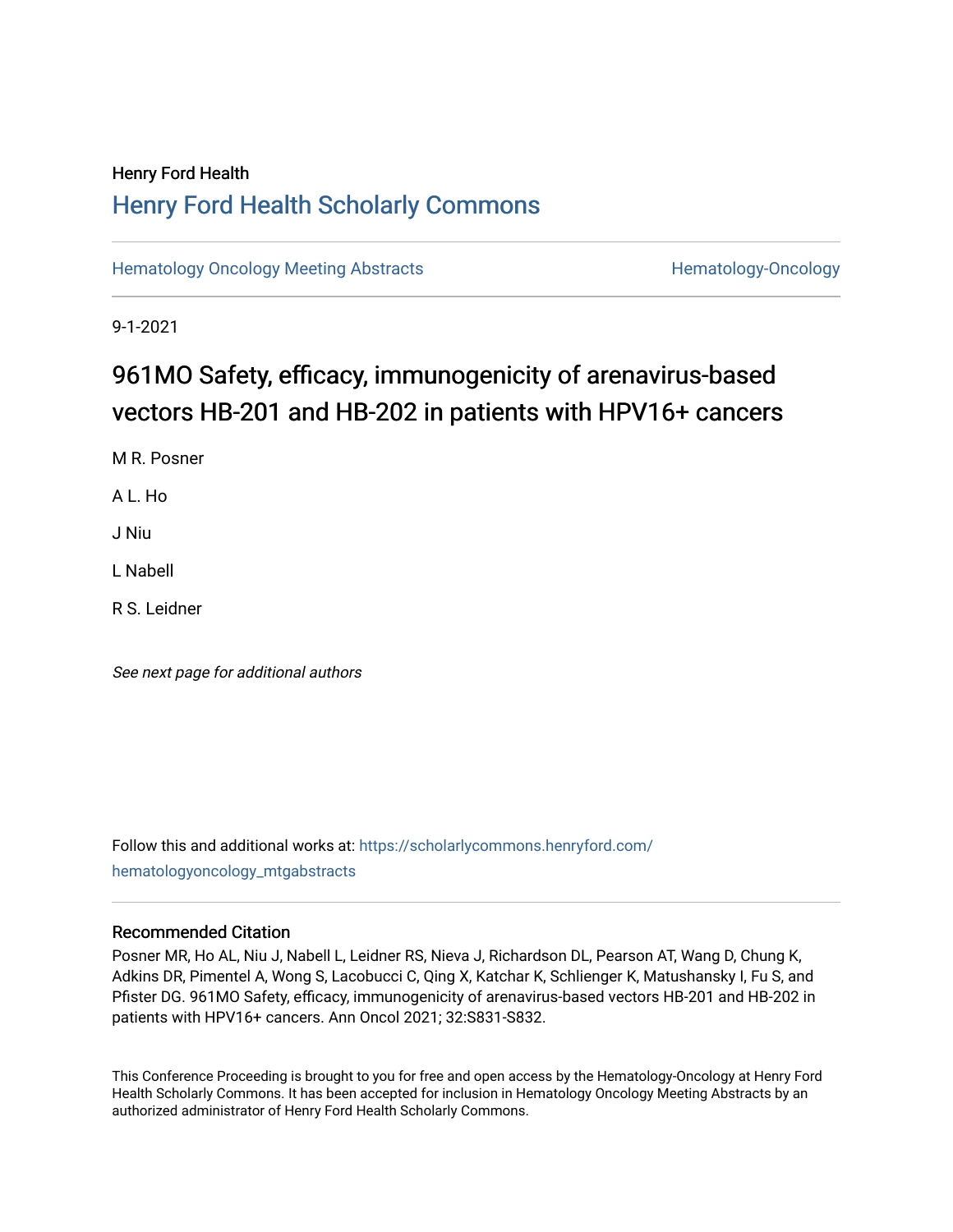# Henry Ford Health [Henry Ford Health Scholarly Commons](https://scholarlycommons.henryford.com/)

[Hematology Oncology Meeting Abstracts](https://scholarlycommons.henryford.com/hematologyoncology_mtgabstracts) **Hematology-Oncology** Hematology-Oncology

9-1-2021

# 961MO Safety, efficacy, immunogenicity of arenavirus-based vectors HB-201 and HB-202 in patients with HPV16+ cancers

M R. Posner

A L. Ho

J Niu

L Nabell

R S. Leidner

See next page for additional authors

Follow this and additional works at: [https://scholarlycommons.henryford.com/](https://scholarlycommons.henryford.com/hematologyoncology_mtgabstracts?utm_source=scholarlycommons.henryford.com%2Fhematologyoncology_mtgabstracts%2F84&utm_medium=PDF&utm_campaign=PDFCoverPages) [hematologyoncology\\_mtgabstracts](https://scholarlycommons.henryford.com/hematologyoncology_mtgabstracts?utm_source=scholarlycommons.henryford.com%2Fhematologyoncology_mtgabstracts%2F84&utm_medium=PDF&utm_campaign=PDFCoverPages) 

## Recommended Citation

Posner MR, Ho AL, Niu J, Nabell L, Leidner RS, Nieva J, Richardson DL, Pearson AT, Wang D, Chung K, Adkins DR, Pimentel A, Wong S, Lacobucci C, Qing X, Katchar K, Schlienger K, Matushansky I, Fu S, and Pfister DG. 961MO Safety, efficacy, immunogenicity of arenavirus-based vectors HB-201 and HB-202 in patients with HPV16+ cancers. Ann Oncol 2021; 32:S831-S832.

This Conference Proceeding is brought to you for free and open access by the Hematology-Oncology at Henry Ford Health Scholarly Commons. It has been accepted for inclusion in Hematology Oncology Meeting Abstracts by an authorized administrator of Henry Ford Health Scholarly Commons.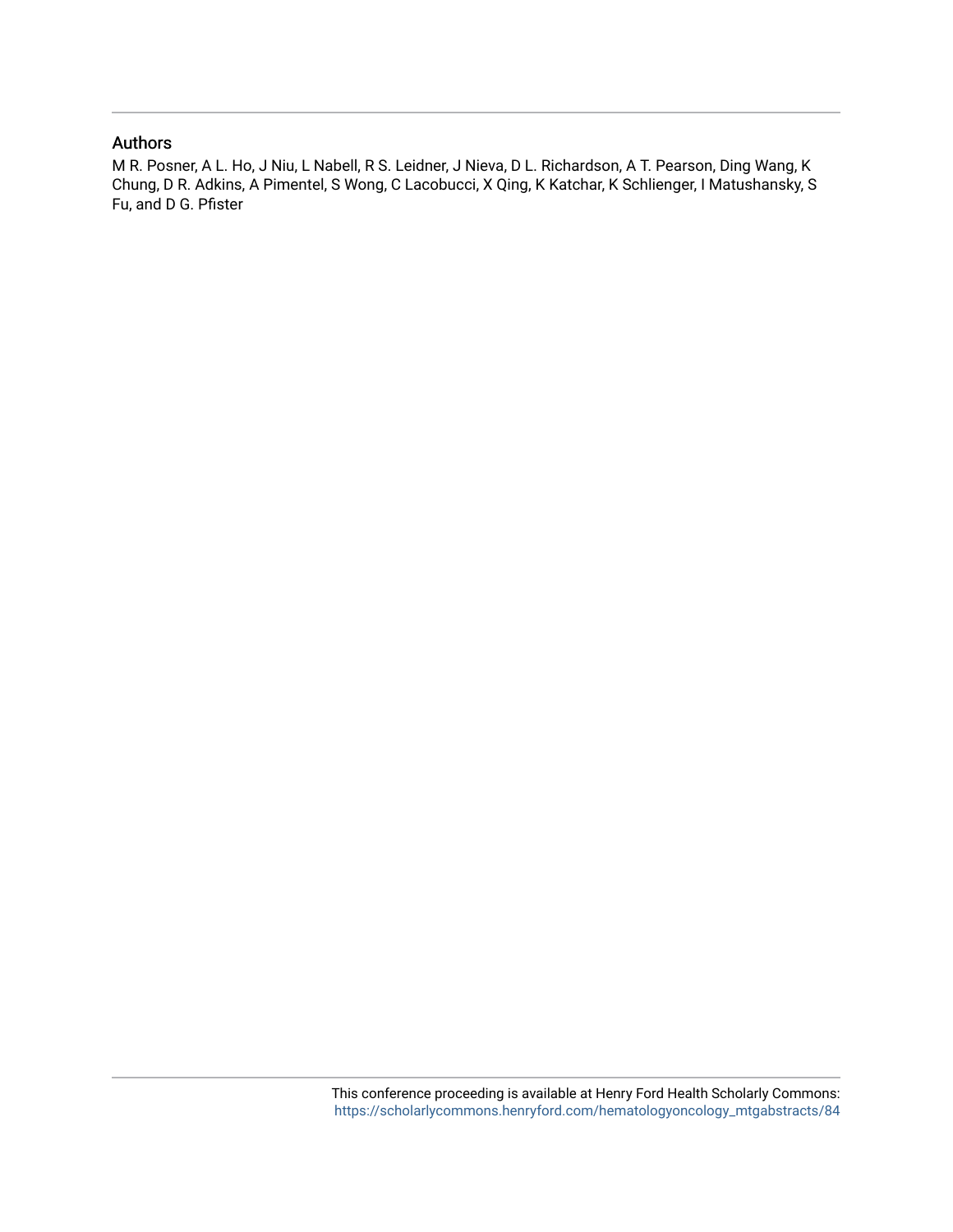# Authors

M R. Posner, A L. Ho, J Niu, L Nabell, R S. Leidner, J Nieva, D L. Richardson, A T. Pearson, Ding Wang, K Chung, D R. Adkins, A Pimentel, S Wong, C Lacobucci, X Qing, K Katchar, K Schlienger, I Matushansky, S Fu, and D G. Pfister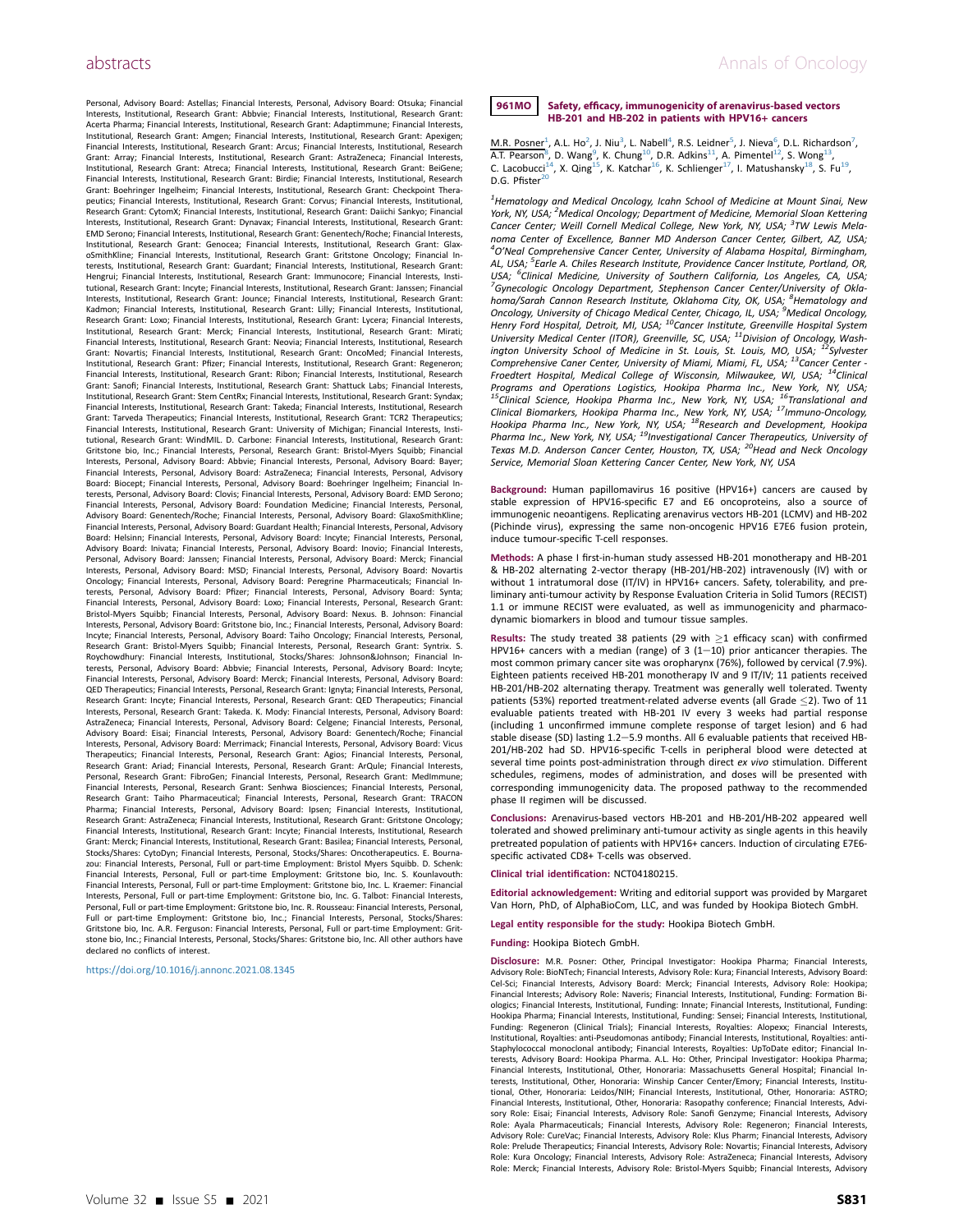Personal, Advisory Board: Astellas; Financial Interests, Personal, Advisory Board: Otsuka; Financial Interests, Institutional, Research Grant: Abbvie; Financial Interests, Institutional, Research Grant: Acerta Pharma; Financial Interests, Institutional, Research Grant: Adaptimmune; Financial Interests, Institutional, Research Grant: Amgen; Financial Interests, Institutional, Research Grant: Apexigen; Financial Interests, Institutional, Research Grant: Arcus; Financial Interests, Institutional, Research Grant: Array; Financial Interests, Institutional, Research Grant: AstraZeneca; Financial Interests, Institutional, Research Grant: Atreca; Financial Interests, Institutional, Research Grant: BeiGene; Financial Interests, Institutional, Research Grant: Birdie; Financial Interests, Institutional, Research Grant: Boehringer Ingelheim; Financial Interests, Institutional, Research Grant: Checkpoint Therapeutics; Financial Interests, Institutional, Research Grant: Corvus; Financial Interests, Institutional, Research Grant: CytomX; Financial Interests, Institutional, Research Grant: Daiichi Sankyo; Financial Interests, Institutional, Research Grant: Dynavax; Financial Interests, Institutional, Research Grant: EMD Serono; Financial Interests, Institutional, Research Grant: Genentech/Roche; Financial Interests, Institutional, Research Grant: Genocea; Financial Interests, Institutional, Research Grant: Glax-oSmithKline; Financial Interests, Institutional, Research Grant: Gritstone Oncology; Financial Interests, Institutional, Research Grant: Guardant; Financial Interests, Institutional, Research Grant: Hengrui; Financial Interests, Institutional, Research Grant: Immunocore; Financial Interests, Institutional, Research Grant: Incyte; Financial Interests, Institutional, Research Grant: Janssen; Financial Interests, Institutional, Research Grant: Jounce; Financial Interests, Institutional, Research Grant: Kadmon; Financial Interests, Institutional, Research Grant: Lilly; Financial Interests, Institutional, Research Grant: Loxo; Financial Interests, Institutional, Research Grant: Lycera; Financial Interests, Institutional, Research Grant: Merck; Financial Interests, Institutional, Research Grant: Mirati; Financial Interests, Institutional, Research Grant: Neovia; Financial Interests, Institutional, Research Grant: Novartis; Financial Interests, Institutional, Research Grant: OncoMed; Financial Interests, Institutional, Research Grant: Pfizer; Financial Interests, Institutional, Research Grant: Regeneron; Financial Interests, Institutional, Research Grant: Ribon; Financial Interests, Institutional, Research Grant: Sanofi; Financial Interests, Institutional, Research Grant: Shattuck Labs; Financial Interests, Institutional, Research Grant: Stem CentRx; Financial Interests, Institutional, Research Grant: Syndax; Financial Interests, Institutional, Research Grant: Takeda; Financial Interests, Institutional, Research Grant: Tarveda Therapeutics; Financial Interests, Institutional, Research Grant: TCR2 Therapeutics; Financial Interests, Institutional, Research Grant: University of Michigan; Financial Interests, Insti-tutional, Research Grant: WindMIL. D. Carbone: Financial Interests, Institutional, Research Grant: Gritstone bio, Inc.; Financial Interests, Personal, Research Grant: Bristol-Myers Squibb; Financial Interests, Personal, Advisory Board: Abbvie; Financial Interests, Personal, Advisory Board: Bayer; Financial Interests, Personal, Advisory Board: AstraZeneca; Financial Interests, Personal, Advisory Board: Biocept; Financial Interests, Personal, Advisory Board: Boehringer Ingelheim; Financial Interests, Personal, Advisory Board: Clovis; Financial Interests, Personal, Advisory Board: EMD Serono; Financial Interests, Personal, Advisory Board: Foundation Medicine; Financial Interests, Personal, Advisory Board: Genentech/Roche; Financial Interests, Personal, Advisory Board: GlaxoSmithKline; Financial Interests, Personal, Advisory Board: Guardant Health; Financial Interests, Personal, Advisory Board: Helsinn; Financial Interests, Personal, Advisory Board: Incyte; Financial Interests, Personal, Advisory Board: Inivata; Financial Interests, Personal, Advisory Board: Inovio; Financial Interests, Personal, Advisory Board: Janssen; Financial Interests, Personal, Advisory Board: Merck; Financial Interests, Personal, Advisory Board: MSD; Financial Interests, Personal, Advisory Board: Novartis Oncology; Financial Interests, Personal, Advisory Board: Peregrine Pharmaceuticals; Financial Interests, Personal, Advisory Board: Pfizer; Financial Interests, Personal, Advisory Board: Synta; Financial Interests, Personal, Advisory Board: Loxo; Financial Interests, Personal, Research Grant: Bristol-Myers Squibb; Financial Interests, Personal, Advisory Board: Nexus. B. Johnson: Financial Interests, Personal, Advisory Board: Gritstone bio, Inc.; Financial Interests, Personal, Advisory Board: Incyte; Financial Interests, Personal, Advisory Board: Taiho Oncology; Financial Interests, Personal, Research Grant: Bristol-Myers Squibb; Financial Interests, Personal, Research Grant: Syntrix. S. Roychowdhury: Financial Interests, Institutional, Stocks/Shares: Johnson&Johnson; Financial Interests, Personal, Advisory Board: Abbvie; Financial Interests, Personal, Advisory Board: Incyte; Financial Interests, Personal, Advisory Board: Merck; Financial Interests, Personal, Advisory Board: QED Therapeutics; Financial Interests, Personal, Research Grant: Ignyta; Financial Interests, Personal, Research Grant: Incyte; Financial Interests, Personal, Research Grant: QED Therapeutics; Financial Interests, Personal, Research Grant: Takeda. K. Mody: Financial Interests, Personal, Advisory Board: AstraZeneca; Financial Interests, Personal, Advisory Board: Celgene; Financial Interests, Personal, Advisory Board: Eisai; Financial Interests, Personal, Advisory Board: Genentech/Roche; Financial Interests, Personal, Advisory Board: Merrimack; Financial Interests, Personal, Advisory Board: Vicus Therapeutics; Financial Interests, Personal, Research Grant: Agios; Financial Interests, Personal, Research Grant: Ariad; Financial Interests, Personal, Research Grant: ArQule; Financial Interests, Personal, Research Grant: FibroGen; Financial Interests, Personal, Research Grant: MedImmune; Financial Interests, Personal, Research Grant: Senhwa Biosciences; Financial Interests, Personal, Research Grant: Taiho Pharmaceutical; Financial Interests, Personal, Research Grant: TRACON Pharma; Financial Interests, Personal, Advisory Board: Ipsen; Financial Interests, Institutional, Research Grant: AstraZeneca; Financial Interests, Institutional, Research Grant: Gritstone Oncology; Financial Interests, Institutional, Research Grant: Incyte; Financial Interests, Institutional, Research Grant: Merck; Financial Interests, Institutional, Research Grant: Basilea; Financial Interests, Personal, Stocks/Shares: CytoDyn; Financial Interests, Personal, Stocks/Shares: Oncotherapeutics. E. Bourna-zou: Financial Interests, Personal, Full or part-time Employment: Bristol Myers Squibb. D. Schenk: Financial Interests, Personal, Full or part-time Employment: Gritstone bio, Inc. S. Kounlavouth: Financial Interests, Personal, Full or part-time Employment: Gritstone bio, Inc. L. Kraemer: Financial Interests, Personal, Full or part-time Employment: Gritstone bio, Inc. G. Talbot: Financial Interests, Personal, Full or part-time Employment: Gritstone bio, Inc. R. Rousseau: Financial Interests, Personal, Full or part-time Employment: Gritstone bio, Inc.; Financial Interests, Personal, Stocks/Shares: Gritstone bio, Inc. A.R. Ferguson: Financial Interests, Personal, Full or part-time Employment: Gritstone bio, Inc.; Financial Interests, Personal, Stocks/Shares: Gritstone bio, Inc. All other authors have declared no conflicts of interest.

https://doi.org/[10.1016/j.annonc.2021.08.1345](https://doi.org/10.1016/j.annonc.2021.08.1345)

### 961MO Safety, efficacy, immunogenicity of arenavirus-based vectors HB-201 and HB-202 in patients with HPV16+ cancers

M.R. Posner<sup>[1](#page-2-0)</sup>, A.L. Ho<sup>[2](#page-2-1)</sup>, J. Niu<sup>[3](#page-2-2)</sup>, L. Nabell<sup>[4](#page-2-3)</sup>, R.S. Leidner<sup>[5](#page-2-4)</sup>, J. Nieva<sup>[6](#page-2-5)</sup>, D.L. Richardson<sup>[7](#page-2-5)</sup>, A.T. Pearson<sup>[8](#page-2-6)</sup>, D. Wang<sup>[9](#page-2-7)</sup>, K. Chung<sup>10</sup>, D.R. Adkins<sup>11</sup>, A. Pimentel<sup>12</sup>, S. Wong<sup>[13](#page-2-11)</sup>, C. Lacobucci<sup>14</sup>, X. Qing<sup>15</sup> D.G. Pfister $^{20}$  $^{20}$  $^{20}$ 

<span id="page-2-9"></span><span id="page-2-8"></span><span id="page-2-7"></span><span id="page-2-6"></span><span id="page-2-5"></span><span id="page-2-4"></span><span id="page-2-3"></span><span id="page-2-2"></span><span id="page-2-1"></span><span id="page-2-0"></span><sup>1</sup>Hematology and Medical Oncology, Icahn School of Medicine at Mount Sinai, New York, NY, USA; <sup>2</sup>Medical Oncology; Department of Medicine, Memorial Sloan Kettering Cancer Center; Weill Cornell Medical College, New York, NY, USA; <sup>3</sup>TW Lewis Melanoma Center of Excellence, Banner MD Anderson Cancer Center, Gilbert, AZ, USA; 4 O'Neal Comprehensive Cancer Center, University of Alabama Hospital, Birmingham, AL, USA; <sup>5</sup>Earle A. Chiles Research Institute, Providence Cancer Institute, Portland, OR, USA; <sup>6</sup>Clinical Medicine, University of Southern California, Los Angeles, CA, USA;<br><sup>7</sup>Cunocelogie Opselogy Department, Staphancen Cancer Canter<sup>/</sup>University of Okla <sup>7</sup>Gynecologic Oncology Department, Stephenson Cancer Center/University of Oklahoma/Sarah Cannon Research Institute, Oklahoma City, OK, USA, <sup>8</sup>Hematology and Oncology, University of Chicago Medical Center, Chicago, IL, USA; <sup>9</sup>Medical Oncology, Henry Ford Hospital, Detroit, MI, USA; <sup>10</sup>Cancer Institute, Greenville Hospital System University Medical Center (ITOR), Greenville, SC, USA; <sup>11</sup>Division of Oncology, Wash-<br>ington University School of Medicine in St. Louis, St. Louis, MO, USA; <sup>12</sup>Sylvester Comprehensive Caner Center, University of Miami, Miami, FL, USA; <sup>13</sup>Cancer Center -Froedtert Hospital, Medical College of Wisconsin, Milwaukee, WI, USA; 14Clinical Programs and Operations Logistics, Hookipa Pharma Inc., New York, NY, USA; <sup>15</sup>Clinical Science, Hookipa Pharma Inc., New York, NY, USA; <sup>15</sup>Translational ana<br>Clinical Biomarkers, Hookipa Pharma Inc., New York, NY, USA; <sup>17</sup>Immuno-Oncology, Hookipa Pharma Inc., New York, NY, USA; <sup>18</sup>Research and Development, Hookipa<br>Pharma Inc., New York, NY, USA; <sup>19</sup>Investigational Cancer Therapeutics, University of<br>Texas M.D. Anderson Cancer Center, Houston, TX, USA; <sup>20</sup> Service, Memorial Sloan Kettering Cancer Center, New York, NY, USA

<span id="page-2-18"></span><span id="page-2-17"></span><span id="page-2-16"></span><span id="page-2-15"></span><span id="page-2-14"></span><span id="page-2-13"></span><span id="page-2-12"></span><span id="page-2-11"></span><span id="page-2-10"></span>Background: Human papillomavirus 16 positive (HPV16+) cancers are caused by stable expression of HPV16-specific E7 and E6 oncoproteins, also a source of immunogenic neoantigens. Replicating arenavirus vectors HB-201 (LCMV) and HB-202 (Pichinde virus), expressing the same non-oncogenic HPV16 E7E6 fusion protein, induce tumour-specific T-cell responses.

Methods: A phase I first-in-human study assessed HB-201 monotherapy and HB-201 & HB-202 alternating 2-vector therapy (HB-201/HB-202) intravenously (IV) with or without 1 intratumoral dose (IT/IV) in HPV16+ cancers. Safety, tolerability, and preliminary anti-tumour activity by Response Evaluation Criteria in Solid Tumors (RECIST) 1.1 or immune RECIST were evaluated, as well as immunogenicity and pharmacodynamic biomarkers in blood and tumour tissue samples.

Results: The study treated 38 patients (29 with  $\geq$ 1 efficacy scan) with confirmed HPV16+ cancers with a median (range) of 3 (1-10) prior anticancer therapies. The most common primary cancer site was oropharynx (76%), followed by cervical (7.9%). Eighteen patients received HB-201 monotherapy IV and 9 IT/IV; 11 patients received HB-201/HB-202 alternating therapy. Treatment was generally well tolerated. Twenty patients (53%) reported treatment-related adverse events (all Grade  $\leq$ 2). Two of 11 evaluable patients treated with HB-201 IV every 3 weeks had partial response (including 1 unconfirmed immune complete response of target lesion) and 6 had stable disease (SD) lasting 1.2-5.9 months. All 6 evaluable patients that received HB-201/HB-202 had SD. HPV16-specific T-cells in peripheral blood were detected at several time points post-administration through direct ex vivo stimulation. Different schedules, regimens, modes of administration, and doses will be presented with corresponding immunogenicity data. The proposed pathway to the recommended phase II regimen will be discussed.

Conclusions: Arenavirus-based vectors HB-201 and HB-201/HB-202 appeared well tolerated and showed preliminary anti-tumour activity as single agents in this heavily pretreated population of patients with HPV16+ cancers. Induction of circulating E7E6 specific activated CD8+ T-cells was observed.

Clinical trial identification: NCT04180215.

Editorial acknowledgement: Writing and editorial support was provided by Margaret Van Horn, PhD, of AlphaBioCom, LLC, and was funded by Hookipa Biotech GmbH.

Legal entity responsible for the study: Hookipa Biotech GmbH.

#### Funding: Hookipa Biotech GmbH.

Disclosure: M.R. Posner: Other, Principal Investigator: Hookipa Pharma; Financial Interests, Advisory Role: BioNTech; Financial Interests, Advisory Role: Kura; Financial Interests, Advisory Board: Cel-Sci; Financial Interests, Advisory Board: Merck; Financial Interests, Advisory Role: Hookipa; Financial Interests; Advisory Role: Naveris; Financial Interests, Institutional, Funding: Formation Biologics; Financial Interests, Institutional, Funding: Innate; Financial Interests, Institutional, Funding: Hookipa Pharma; Financial Interests, Institutional, Funding: Sensei; Financial Interests, Institutional, Funding: Regeneron (Clinical Trials); Financial Interests, Royalties: Alopexx; Financial Interests, Institutional, Royalties: anti-Pseudomonas antibody; Financial Interests, Institutional, Royalties: anti-Staphylococcal monoclonal antibody; Financial Interests, Royalties: UpToDate editor; Financial In-terests, Advisory Board: Hookipa Pharma. A.L. Ho: Other, Principal Investigator: Hookipa Pharma; Financial Interests, Institutional, Other, Honoraria: Massachusetts General Hospital; Financial Interests, Institutional, Other, Honoraria: Winship Cancer Center/Emory; Financial Interests, Institutional, Other, Honoraria: Leidos/NIH; Financial Interests, Institutional, Other, Honoraria: ASTRO; Financial Interests, Institutional, Other, Honoraria: Rasopathy conference; Financial Interests, Advi-sory Role: Eisai; Financial Interests, Advisory Role: Sanofi Genzyme; Financial Interests, Advisory Role: Ayala Pharmaceuticals; Financial Interests, Advisory Role: Regeneron; Financial Interests, Advisory Role: CureVac; Financial Interests, Advisory Role: Klus Pharm; Financial Interests, Advisory Role: Prelude Therapeutics; Financial Interests, Advisory Role: Novartis; Financial Interests, Advisory Role: Kura Oncology; Financial Interests, Advisory Role: AstraZeneca; Financial Interests, Advisory Role: Merck; Financial Interests, Advisory Role: Bristol-Myers Squibb; Financial Interests, Advisory